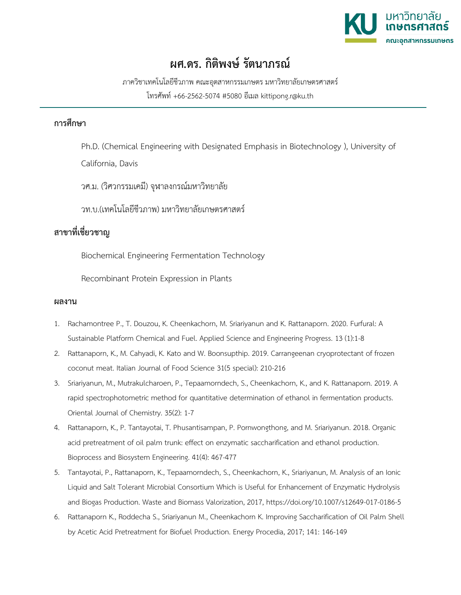

## **ผศ.ดร. กิติพงษ์ รัตนาภรณ์**

ภาควิชาเทคโนโลยีชีวภาพ คณะอุตสาหกรรมเกษตร มหาวิทยาลัยเกษตรศาสตร์ โทรศัพท์ +66-2562-5074 #5080 อีเมล kittipong.r@ku.th

## **การศึกษา**

Ph.D. (Chemical Engineering with Designated Emphasis in Biotechnology ), University of

California, Davis

วศ.ม. (วิศวกรรมเคมี) จุฬาลงกรณ์มหาวิทยาลัย

วท.บ.(เทคโนโลยีชีวภาพ) มหาวิทยาลัยเกษตรศาสตร์

## **สาขาที่เชี่ยวชาญ**

Biochemical Engineering Fermentation Technology

Recombinant Protein Expression in Plants

## **ผลงาน**

- 1. Rachamontree P., T. Douzou, K. Cheenkachorn, M. Sriariyanun and K. Rattanaporn. 2020. Furfural: A Sustainable Platform Chemical and Fuel. Applied Science and Engineering Progress. 13 (1):1-8
- 2. Rattanaporn, K., M. Cahyadi, K. Kato and W. Boonsupthip. 2019. Carrangeenan cryoprotectant of frozen coconut meat. Italian Journal of Food Science 31(5 special): 210-216
- 3. Sriariyanun, M., Mutrakulcharoen, P., Tepaamorndech, S., Cheenkachorn, K., and K. Rattanaporn. 2019. A rapid spectrophotometric method for quantitative determination of ethanol in fermentation products. Oriental Journal of Chemistry. 35(2): 1-7
- 4. Rattanaporn, K., P. Tantayotai, T. Phusantisampan, P. Pornwongthong, and M. Sriariyanun. 2018. Organic acid pretreatment of oil palm trunk: effect on enzymatic saccharification and ethanol production. Bioprocess and Biosystem Engineering. 41(4): 467-477
- 5. Tantayotai, P., Rattanaporn, K., Tepaamorndech, S., Cheenkachorn, K., Sriariyanun, M. Analysis of an Ionic Liquid and Salt Tolerant Microbial Consortium Which is Useful for Enhancement of Enzymatic Hydrolysis and Biogas Production. Waste and Biomass Valorization, 2017, https://doi.org/10.1007/s12649-017-0186-5
- 6. Rattanaporn K., Roddecha S., Sriariyanun M., Cheenkachorn K. Improving Saccharification of Oil Palm Shell by Acetic Acid Pretreatment for Biofuel Production. Energy Procedia, 2017; 141: 146-149